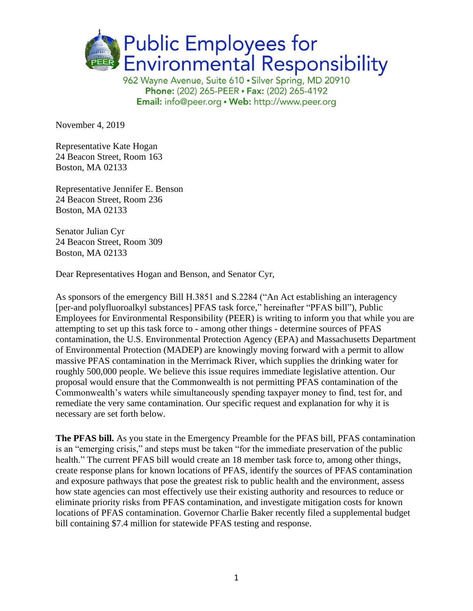

Phone: (202) 265-PEER · Fax: (202) 265-4192 Email: info@peer.org . Web: http://www.peer.org

November 4, 2019

Representative Kate Hogan 24 Beacon Street, Room 163 Boston, MA 02133

Representative Jennifer E. Benson 24 Beacon Street, Room 236 Boston, MA 02133

Senator Julian Cyr 24 Beacon Street, Room 309 Boston, MA 02133

Dear Representatives Hogan and Benson, and Senator Cyr,

As sponsors of the emergency Bill H.3851 and S.2284 ("An Act establishing an interagency [per-and polyfluoroalkyl substances] PFAS task force," hereinafter "PFAS bill"), Public Employees for Environmental Responsibility (PEER) is writing to inform you that while you are attempting to set up this task force to - among other things - determine sources of PFAS contamination, the U.S. Environmental Protection Agency (EPA) and Massachusetts Department of Environmental Protection (MADEP) are knowingly moving forward with a permit to allow massive PFAS contamination in the Merrimack River, which supplies the drinking water for roughly 500,000 people. We believe this issue requires immediate legislative attention. Our proposal would ensure that the Commonwealth is not permitting PFAS contamination of the Commonwealth's waters while simultaneously spending taxpayer money to find, test for, and remediate the very same contamination. Our specific request and explanation for why it is necessary are set forth below.

**The PFAS bill.** As you state in the Emergency Preamble for the PFAS bill, PFAS contamination is an "emerging crisis," and steps must be taken "for the immediate preservation of the public health." The current PFAS bill would create an 18 member task force to, among other things, create response plans for known locations of PFAS, identify the sources of PFAS contamination and exposure pathways that pose the greatest risk to public health and the environment, assess how state agencies can most effectively use their existing authority and resources to reduce or eliminate priority risks from PFAS contamination, and investigate mitigation costs for known locations of PFAS contamination. Governor Charlie Baker recently filed a supplemental budget bill containing \$7.4 million for statewide PFAS testing and response.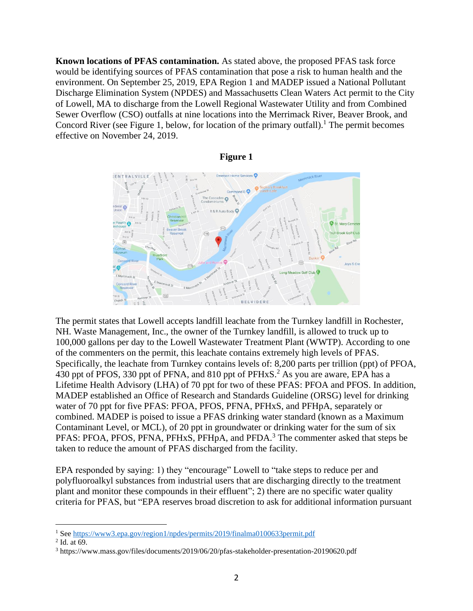**Known locations of PFAS contamination.** As stated above, the proposed PFAS task force would be identifying sources of PFAS contamination that pose a risk to human health and the environment. On September 25, 2019, EPA Region 1 and MADEP issued a National Pollutant Discharge Elimination System (NPDES) and Massachusetts Clean Waters Act permit to the City of Lowell, MA to discharge from the Lowell Regional Wastewater Utility and from Combined Sewer Overflow (CSO) outfalls at nine locations into the Merrimack River, Beaver Brook, and Concord River (see Figure 1, below, for location of the primary outfall).<sup>1</sup> The permit becomes effective on November 24, 2019.





The permit states that Lowell accepts landfill leachate from the Turnkey landfill in Rochester, NH. Waste Management, Inc., the owner of the Turnkey landfill, is allowed to truck up to 100,000 gallons per day to the Lowell Wastewater Treatment Plant (WWTP). According to one of the commenters on the permit, this leachate contains extremely high levels of PFAS. Specifically, the leachate from Turnkey contains levels of: 8,200 parts per trillion (ppt) of PFOA, 430 ppt of PFOS, 330 ppt of PFNA, and 810 ppt of PFHxS.<sup>2</sup> As you are aware, EPA has a Lifetime Health Advisory (LHA) of 70 ppt for two of these PFAS: PFOA and PFOS. In addition, MADEP established an Office of Research and Standards Guideline (ORSG) level for drinking water of 70 ppt for five PFAS: PFOA, PFOS, PFNA, PFHxS, and PFHpA, separately or combined. MADEP is poised to issue a PFAS drinking water standard (known as a Maximum Contaminant Level, or MCL), of 20 ppt in groundwater or drinking water for the sum of six PFAS: PFOA, PFOS, PFNA, PFHxS, PFHpA, and PFDA.<sup>3</sup> The commenter asked that steps be taken to reduce the amount of PFAS discharged from the facility.

EPA responded by saying: 1) they "encourage" Lowell to "take steps to reduce per and polyfluoroalkyl substances from industrial users that are discharging directly to the treatment plant and monitor these compounds in their effluent"; 2) there are no specific water quality criteria for PFAS, but "EPA reserves broad discretion to ask for additional information pursuant

<sup>&</sup>lt;sup>1</sup> Se[e https://www3.epa.gov/region1/npdes/permits/2019/finalma0100633permit.pdf](https://www3.epa.gov/region1/npdes/permits/2019/finalma0100633permit.pdf)

 $<sup>2</sup>$  Id. at 69.</sup>

<sup>3</sup> https://www.mass.gov/files/documents/2019/06/20/pfas-stakeholder-presentation-20190620.pdf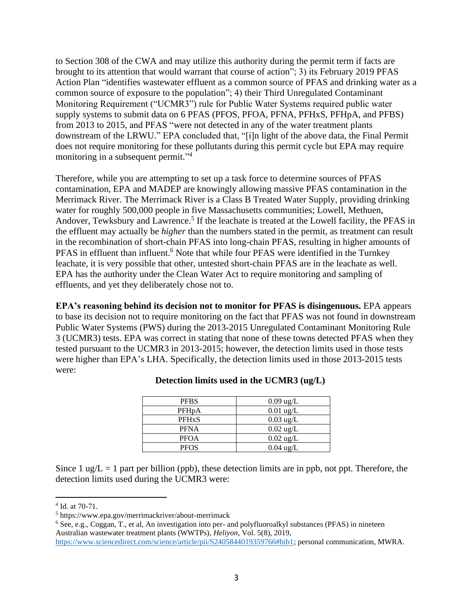to Section 308 of the CWA and may utilize this authority during the permit term if facts are brought to its attention that would warrant that course of action"; 3) its February 2019 PFAS Action Plan "identifies wastewater effluent as a common source of PFAS and drinking water as a common source of exposure to the population"; 4) their Third Unregulated Contaminant Monitoring Requirement ("UCMR3") rule for Public Water Systems required public water supply systems to submit data on 6 PFAS (PFOS, PFOA, PFNA, PFHxS, PFHpA, and PFBS) from 2013 to 2015, and PFAS "were not detected in any of the water treatment plants downstream of the LRWU." EPA concluded that, "[i]n light of the above data, the Final Permit does not require monitoring for these pollutants during this permit cycle but EPA may require monitoring in a subsequent permit."<sup>4</sup>

Therefore, while you are attempting to set up a task force to determine sources of PFAS contamination, EPA and MADEP are knowingly allowing massive PFAS contamination in the Merrimack River. The Merrimack River is a Class B Treated Water Supply, providing drinking water for roughly 500,000 people in five Massachusetts communities; Lowell, Methuen, Andover, Tewksbury and Lawrence.<sup>5</sup> If the leachate is treated at the Lowell facility, the PFAS in the effluent may actually be *higher* than the numbers stated in the permit, as treatment can result in the recombination of short-chain PFAS into long-chain PFAS, resulting in higher amounts of PFAS in effluent than influent.<sup>6</sup> Note that while four PFAS were identified in the Turnkey leachate, it is very possible that other, untested short-chain PFAS are in the leachate as well. EPA has the authority under the Clean Water Act to require monitoring and sampling of effluents, and yet they deliberately chose not to.

**EPA's reasoning behind its decision not to monitor for PFAS is disingenuous.** EPA appears to base its decision not to require monitoring on the fact that PFAS was not found in downstream Public Water Systems (PWS) during the 2013-2015 Unregulated Contaminant Monitoring Rule 3 (UCMR3) tests. EPA was correct in stating that none of these towns detected PFAS when they tested pursuant to the UCMR3 in 2013-2015; however, the detection limits used in those tests were higher than EPA's LHA. Specifically, the detection limits used in those 2013-2015 tests were:

| <b>PFBS</b>        | $0.09 \text{ ug/L}$ |
|--------------------|---------------------|
| PFH <sub>p</sub> A | $0.01$ ug/L         |
| <b>PFHxS</b>       | $0.03 \text{ ug/L}$ |
| <b>PFNA</b>        | $0.02 \text{ ug/L}$ |
| <b>PFOA</b>        | $0.02 \text{ ug/L}$ |
| <b>PFOS</b>        | $0.04 \text{ ug/L}$ |

## **Detection limits used in the UCMR3 (ug/L)**

Since  $1 \text{ ug}/L = 1$  part per billion (ppb), these detection limits are in ppb, not ppt. Therefore, the detection limits used during the UCMR3 were:

<sup>4</sup> Id. at 70-71.

<sup>5</sup> https://www.epa.gov/merrimackriver/about-merrimack

<sup>6</sup> See, e.g., Coggan, T., et al, An investigation into per- and polyfluoroalkyl substances (PFAS) in nineteen Australian wastewater treatment plants (WWTPs), *Heliyon*, Vol. 5(8), 2019,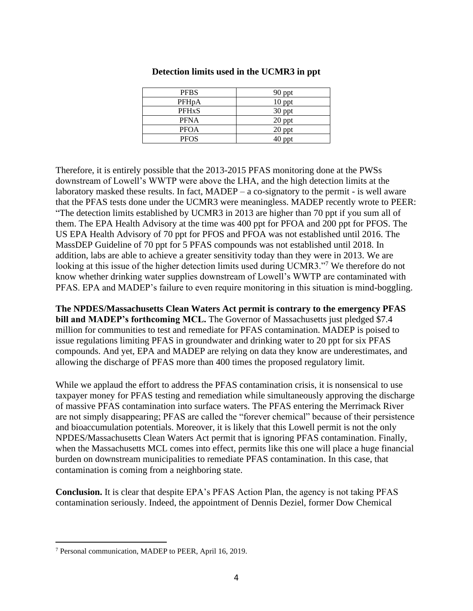| <b>PFBS</b>             | 90 ppt   |
|-------------------------|----------|
| PFH <sub>p</sub> A      | $10$ ppt |
| <b>PFH<sub>x</sub>S</b> | 30 ppt   |
| <b>PFNA</b>             | 20 ppt   |
| <b>PFOA</b>             | 20 ppt   |
| <b>PFOS</b>             | 40 ppt   |

## **Detection limits used in the UCMR3 in ppt**

Therefore, it is entirely possible that the 2013-2015 PFAS monitoring done at the PWSs downstream of Lowell's WWTP were above the LHA, and the high detection limits at the laboratory masked these results. In fact, MADEP – a co-signatory to the permit - is well aware that the PFAS tests done under the UCMR3 were meaningless. MADEP recently wrote to PEER: "The detection limits established by UCMR3 in 2013 are higher than 70 ppt if you sum all of them. The EPA Health Advisory at the time was 400 ppt for PFOA and 200 ppt for PFOS. The US EPA Health Advisory of 70 ppt for PFOS and PFOA was not established until 2016. The MassDEP Guideline of 70 ppt for 5 PFAS compounds was not established until 2018. In addition, labs are able to achieve a greater sensitivity today than they were in 2013. We are looking at this issue of the higher detection limits used during UCMR3."<sup>7</sup> We therefore do not know whether drinking water supplies downstream of Lowell's WWTP are contaminated with PFAS. EPA and MADEP's failure to even require monitoring in this situation is mind-boggling.

**The NPDES/Massachusetts Clean Waters Act permit is contrary to the emergency PFAS bill and MADEP's forthcoming MCL.** The Governor of Massachusetts just pledged \$7.4 million for communities to test and remediate for PFAS contamination. MADEP is poised to issue regulations limiting PFAS in groundwater and drinking water to 20 ppt for six PFAS compounds. And yet, EPA and MADEP are relying on data they know are underestimates, and allowing the discharge of PFAS more than 400 times the proposed regulatory limit.

While we applaud the effort to address the PFAS contamination crisis, it is nonsensical to use taxpayer money for PFAS testing and remediation while simultaneously approving the discharge of massive PFAS contamination into surface waters. The PFAS entering the Merrimack River are not simply disappearing; PFAS are called the "forever chemical" because of their persistence and bioaccumulation potentials. Moreover, it is likely that this Lowell permit is not the only NPDES/Massachusetts Clean Waters Act permit that is ignoring PFAS contamination. Finally, when the Massachusetts MCL comes into effect, permits like this one will place a huge financial burden on downstream municipalities to remediate PFAS contamination. In this case, that contamination is coming from a neighboring state.

**Conclusion.** It is clear that despite EPA's PFAS Action Plan, the agency is not taking PFAS contamination seriously. Indeed, the appointment of Dennis Deziel, former Dow Chemical

<sup>7</sup> Personal communication, MADEP to PEER, April 16, 2019.